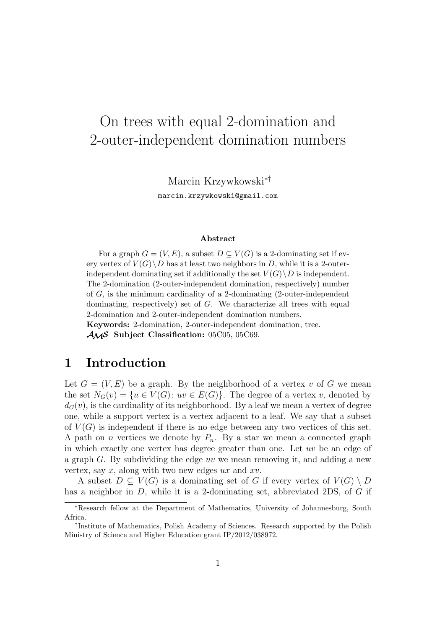# On trees with equal 2-domination and 2-outer-independent domination numbers

Marcin Krzywkowski*∗†*

marcin.krzywkowski@gmail.com

#### **Abstract**

For a graph  $G = (V, E)$ , a subset  $D \subseteq V(G)$  is a 2-dominating set if every vertex of  $V(G) \backslash D$  has at least two neighbors in *D*, while it is a 2-outerindependent dominating set if additionally the set  $V(G) \backslash D$  is independent. The 2-domination (2-outer-independent domination, respectively) number of *G*, is the minimum cardinality of a 2-dominating (2-outer-independent dominating, respectively) set of *G*. We characterize all trees with equal 2-domination and 2-outer-independent domination numbers.

**Keywords:** 2-domination, 2-outer-independent domination, tree.

*AMS* **Subject Classification:** 05C05, 05C69.

#### **1 Introduction**

Let  $G = (V, E)$  be a graph. By the neighborhood of a vertex *v* of G we mean the set  $N_G(v) = \{u \in V(G) : uv \in E(G)\}\.$  The degree of a vertex *v*, denoted by  $d_G(v)$ , is the cardinality of its neighborhood. By a leaf we mean a vertex of degree one, while a support vertex is a vertex adjacent to a leaf. We say that a subset of  $V(G)$  is independent if there is no edge between any two vertices of this set. A path on *n* vertices we denote by  $P_n$ . By a star we mean a connected graph in which exactly one vertex has degree greater than one. Let *uv* be an edge of a graph *G*. By subdividing the edge *uv* we mean removing it, and adding a new vertex, say *x*, along with two new edges *ux* and *xv*.

A subset  $D \subseteq V(G)$  is a dominating set of G if every vertex of  $V(G) \setminus D$ has a neighbor in *D*, while it is a 2-dominating set, abbreviated 2DS, of *G* if

*<sup>∗</sup>*Research fellow at the Department of Mathematics, University of Johannesburg, South Africa.

*<sup>†</sup>* Institute of Mathematics, Polish Academy of Sciences. Research supported by the Polish Ministry of Science and Higher Education grant IP/2012/038972.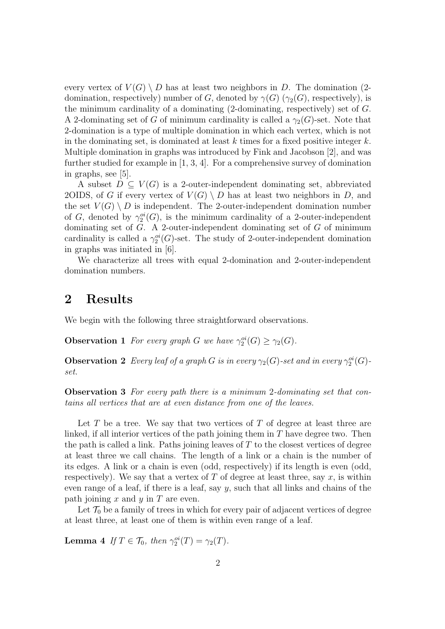every vertex of  $V(G) \setminus D$  has at least two neighbors in *D*. The domination (2domination, respectively) number of *G*, denoted by  $\gamma(G)$  ( $\gamma_2(G)$ , respectively), is the minimum cardinality of a dominating (2-dominating, respectively) set of *G*. A 2-dominating set of *G* of minimum cardinality is called a  $\gamma_2(G)$ -set. Note that 2-domination is a type of multiple domination in which each vertex, which is not in the dominating set, is dominated at least *k* times for a fixed positive integer *k*. Multiple domination in graphs was introduced by Fink and Jacobson [2], and was further studied for example in [1, 3, 4]. For a comprehensive survey of domination in graphs, see [5].

A subset  $D \subseteq V(G)$  is a 2-outer-independent dominating set, abbreviated 2OIDS, of *G* if every vertex of  $V(G) \setminus D$  has at least two neighbors in *D*, and the set  $V(G) \setminus D$  is independent. The 2-outer-independent domination number of *G*, denoted by  $\gamma_2^{oi}(G)$ , is the minimum cardinality of a 2-outer-independent dominating set of *G*. A 2-outer-independent dominating set of *G* of minimum cardinality is called a  $\gamma_2^{oi}(G)$ -set. The study of 2-outer-independent domination in graphs was initiated in [6].

We characterize all trees with equal 2-domination and 2-outer-independent domination numbers.

### **2 Results**

We begin with the following three straightforward observations.

**Observation 1** *For every graph G we have*  $\gamma_2^{oi}(G) \geq \gamma_2(G)$ *.* 

**Observation 2** *Every leaf of a graph G is in every*  $\gamma_2(G)$ -set and in every  $\gamma_2^{oi}(G)$ *set.*

**Observation 3** *For every path there is a minimum* 2*-dominating set that contains all vertices that are at even distance from one of the leaves.*

Let *T* be a tree. We say that two vertices of *T* of degree at least three are linked, if all interior vertices of the path joining them in *T* have degree two. Then the path is called a link. Paths joining leaves of *T* to the closest vertices of degree at least three we call chains. The length of a link or a chain is the number of its edges. A link or a chain is even (odd, respectively) if its length is even (odd, respectively). We say that a vertex of  $T$  of degree at least three, say  $x$ , is within even range of a leaf, if there is a leaf, say  $\gamma$ , such that all links and chains of the path joining *x* and *y* in *T* are even.

Let  $\mathcal{T}_0$  be a family of trees in which for every pair of adjacent vertices of degree at least three, at least one of them is within even range of a leaf.

**Lemma 4** *If*  $T \in \mathcal{T}_0$ *, then*  $\gamma_2^{oi}(T) = \gamma_2(T)$ *.*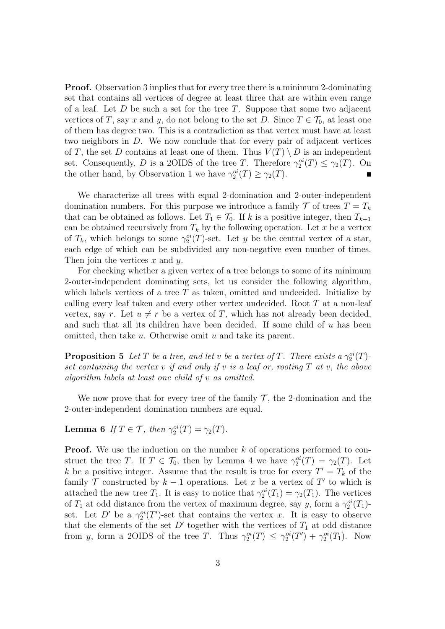**Proof.** Observation 3 implies that for every tree there is a minimum 2-dominating set that contains all vertices of degree at least three that are within even range of a leaf. Let *D* be such a set for the tree *T*. Suppose that some two adjacent vertices of *T*, say *x* and *y*, do not belong to the set *D*. Since  $T \in \mathcal{T}_0$ , at least one of them has degree two. This is a contradiction as that vertex must have at least two neighbors in *D*. We now conclude that for every pair of adjacent vertices of *T*, the set *D* contains at least one of them. Thus  $V(T) \setminus D$  is an independent set. Consequently, *D* is a 2OIDS of the tree *T*. Therefore  $\gamma_2^{oi}(T) \leq \gamma_2(T)$ . On the other hand, by Observation 1 we have  $\gamma_2^{oi}(T) \geq \gamma_2(T)$ .

We characterize all trees with equal 2-domination and 2-outer-independent domination numbers. For this purpose we introduce a family  $\mathcal T$  of trees  $T = T_k$ that can be obtained as follows. Let  $T_1 \in \mathcal{T}_0$ . If *k* is a positive integer, then  $T_{k+1}$ can be obtained recursively from  $T_k$  by the following operation. Let x be a vertex of  $T_k$ , which belongs to some  $\gamma_2^{oi}(T)$ -set. Let *y* be the central vertex of a star, each edge of which can be subdivided any non-negative even number of times. Then join the vertices *x* and *y*.

For checking whether a given vertex of a tree belongs to some of its minimum 2-outer-independent dominating sets, let us consider the following algorithm, which labels vertices of a tree *T* as taken, omitted and undecided. Initialize by calling every leaf taken and every other vertex undecided. Root *T* at a non-leaf vertex, say *r*. Let  $u \neq r$  be a vertex of *T*, which has not already been decided, and such that all its children have been decided. If some child of *u* has been omitted, then take *u*. Otherwise omit *u* and take its parent.

**Proposition 5** *Let T be a tree, and let v be a vertex of T. There exists a*  $\gamma_2^{oi}(T)$ *set containing the vertex v if and only if v is a leaf or, rooting T at v, the above algorithm labels at least one child of v as omitted.*

We now prove that for every tree of the family  $\mathcal{T}$ , the 2-domination and the 2-outer-independent domination numbers are equal.

**Lemma 6** *If*  $T \in \mathcal{T}$ *, then*  $\gamma_2^{oi}(T) = \gamma_2(T)$ *.* 

**Proof.** We use the induction on the number *k* of operations performed to construct the tree *T*. If  $T \in \mathcal{T}_0$ , then by Lemma 4 we have  $\gamma_2^{oi}(T) = \gamma_2(T)$ . Let *k* be a positive integer. Assume that the result is true for every  $T' = T_k$  of the family  $\mathcal T$  constructed by  $k-1$  operations. Let  $x$  be a vertex of  $T'$  to which is attached the new tree  $T_1$ . It is easy to notice that  $\gamma_2^{oi}(T_1) = \gamma_2(T_1)$ . The vertices of  $T_1$  at odd distance from the vertex of maximum degree, say *y*, form a  $\gamma_2^{oi}(T_1)$ set. Let *D'* be a  $\gamma_2^{oi}(T')$ -set that contains the vertex *x*. It is easy to observe that the elements of the set  $D'$  together with the vertices of  $T_1$  at odd distance from *y*, form a 2OIDS of the tree *T*. Thus  $\gamma_2^{oi}(T) \leq \gamma_2^{oi}(T') + \gamma_2^{oi}(T_1)$ . Now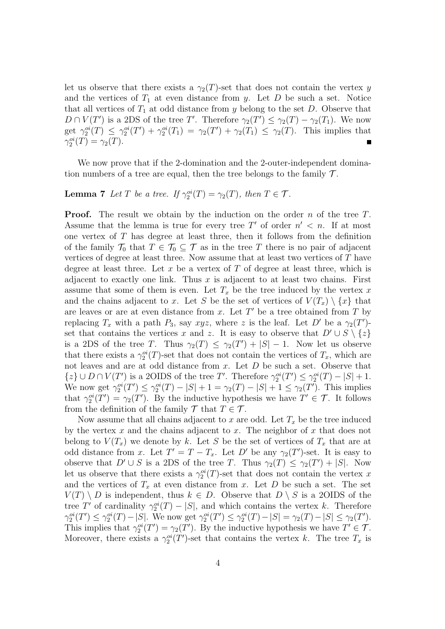let us observe that there exists a  $\gamma_2(T)$ -set that does not contain the vertex *y* and the vertices of  $T_1$  at even distance from *y*. Let  $D$  be such a set. Notice that all vertices of  $T_1$  at odd distance from  $y$  belong to the set  $D$ . Observe that  $D \cap V(T')$  is a 2DS of the tree *T'*. Therefore  $\gamma_2(T') \leq \gamma_2(T) - \gamma_2(T_1)$ . We now get  $\gamma_2^{oi}(T) \leq \gamma_2^{oi}(T') + \gamma_2^{oi}(T_1) = \gamma_2(T') + \gamma_2(T_1) \leq \gamma_2(T)$ . This implies that  $\gamma_2^{oi}(T) = \gamma_2(T)$ .

We now prove that if the 2-domination and the 2-outer-independent domination numbers of a tree are equal, then the tree belongs to the family *T* .

#### **Lemma 7** *Let T be a tree.* If  $\gamma_2^{oi}(T) = \gamma_2(T)$ *, then*  $T \in \mathcal{T}$ *.*

**Proof.** The result we obtain by the induction on the order *n* of the tree *T*. Assume that the lemma is true for every tree T' of order  $n' < n$ . If at most one vertex of *T* has degree at least three, then it follows from the definition of the family  $\mathcal{T}_0$  that  $T \in \mathcal{T}_0 \subseteq \mathcal{T}$  as in the tree *T* there is no pair of adjacent vertices of degree at least three. Now assume that at least two vertices of *T* have degree at least three. Let *x* be a vertex of *T* of degree at least three, which is adjacent to exactly one link. Thus *x* is adjacent to at least two chains. First assume that some of them is even. Let  $T_x$  be the tree induced by the vertex  $x$ and the chains adjacent to *x*. Let *S* be the set of vertices of  $V(T_x) \setminus \{x\}$  that are leaves or are at even distance from *x*. Let *T ′* be a tree obtained from *T* by replacing  $T_x$  with a path  $P_3$ , say  $xyz$ , where  $z$  is the leaf. Let  $D'$  be a  $\gamma_2(T')$ set that contains the vertices *x* and *z*. It is easy to observe that  $D' \cup S \setminus \{z\}$ is a 2DS of the tree *T*. Thus  $\gamma_2(T) \leq \gamma_2(T') + |S| - 1$ . Now let us observe that there exists a  $\gamma_2^{oi}(T)$ -set that does not contain the vertices of  $T_x$ , which are not leaves and are at odd distance from *x*. Let *D* be such a set. Observe that  $\{z\} \cup D \cap V(T')$  is a 2OIDS of the tree T'. Therefore  $\gamma_2^{oi}(T') \leq \gamma_2^{oi}(T) - |S| + 1$ . We now get  $\gamma_2^{oi}(T') \le \gamma_2^{oi}(T) - |S| + 1 = \gamma_2(T) - |S| + 1 \le \gamma_2(T')$ . This implies that  $\gamma_2^{oi}(T') = \gamma_2(T')$ . By the inductive hypothesis we have  $T' \in \mathcal{T}$ . It follows from the definition of the family  $\mathcal{T}$  that  $T \in \mathcal{T}$ .

Now assume that all chains adjacent to  $x$  are odd. Let  $T_x$  be the tree induced by the vertex *x* and the chains adjacent to *x*. The neighbor of *x* that does not belong to  $V(T_x)$  we denote by k. Let S be the set of vertices of  $T_x$  that are at odd distance from *x*. Let  $T' = T - T_x$ . Let  $D'$  be any  $\gamma_2(T')$ -set. It is easy to observe that  $D' \cup S$  is a 2DS of the tree *T*. Thus  $\gamma_2(T) \leq \gamma_2(T') + |S|$ . Now let us observe that there exists a  $\gamma_2^{oi}(T)$ -set that does not contain the vertex *x* and the vertices of  $T_x$  at even distance from  $x$ . Let  $D$  be such a set. The set  $V(T) \setminus D$  is independent, thus  $k \in D$ . Observe that  $D \setminus S$  is a 2OIDS of the tree *T'* of cardinality  $\gamma_2^{oi}(T) - |S|$ , and which contains the vertex *k*. Therefore  $\gamma_2^{oi}(T') \leq \gamma_2^{oi}(T) - |S|$ . We now get  $\gamma_2^{oi}(T') \leq \gamma_2^{oi}(T) - |S| = \gamma_2(T) - |S| \leq \gamma_2(T')$ . This implies that  $\gamma_2^{oi}(T') = \gamma_2(T')$ . By the inductive hypothesis we have  $T' \in \mathcal{T}$ . Moreover, there exists a  $\gamma_2^{oi}(T')$ -set that contains the vertex *k*. The tree  $T_x$  is